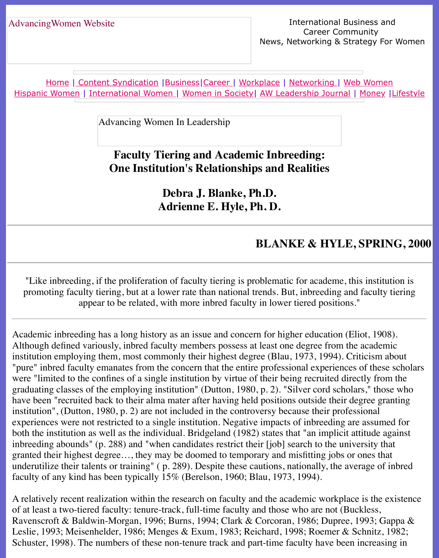Home | Content Syndication | Business | Career | Workplace | Networking | Web Wo Hispanic Women | International Women | Women in Society | AW Leadership Journal | Mon

Advancing Women In Leadership

## **[Faculty T](file:///content.html)[iering a](file:///business.html)[nd Aca](file:///awcareer.html)[demic Inb](file:///workplace.html)[reeding:](file:///networks.html) [One Instituti](file:///international.html)[on's Relationship](file:///Users/nrahman/Google%20Drive/Dropbox/AWL/womsoc/index.html)[s and Realities](file:///awl/awl.html)**

**Debra J. Blanke, Ph.D. Adrienne E. Hyle, Ph. D.**

### **BLANKE & HYLE, SP**

"Like inbreeding, if the proliferation of faculty tiering is problematic for academe, this in promoting faculty tiering, but at a lower rate than national trends. But, inbreeding and fac appear to be related, with more inbred faculty in lower tiered positions."

Academic inbreeding has a long history as an issue and concern for higher education (Eliot, Although defined variously, inbred faculty members possess at least one degree from the aca institution employing them, most commonly their highest degree (Blau, 1973, 1994). Criticis "pure" inbred faculty emanates from the concern that the entire professional experiences of t were "limited to the confines of a single institution by virtue of their being recruited directly graduating classes of the employing institution" (Dutton, 1980, p. 2). "Silver cord scholars," have been "recruited back to their alma mater after having held positions outside their degree institution", (Dutton, 1980, p. 2) are not included in the controversy because their profession experiences were not restricted to a single institution. Negative impacts of inbreeding are ass both the institution as well as the individual. Bridgeland (1982) states that "an implicit attitude inbreeding abounds" (p. 288) and "when candidates restrict their [job] search to the universit granted their highest degree..., they may be doomed to temporary and misfitting jobs or ones underutilize their talents or training" (p. 289). Despite these cautions, nationally, the average faculty of any kind has been typically 15% (Berelson, 1960; Blau, 1973, 1994).

A relatively recent realization within the research on faculty and the academic workplace is the existence of at least a two-tiered faculty: tenure-track, full-time faculty and those who are not (Buckles Ravenscroft & Baldwin-Morgan, 1996; Burns, 1994; Clark & Corcoran, 1986; Dupree, 1993 Leslie, 1993; Meisenhelder, 1986; Menges & Exum, 1983; Reichard, 1998; Roemer & Schni Schuster, 1998). The numbers of these non-tenure track and part-time faculty have been increasing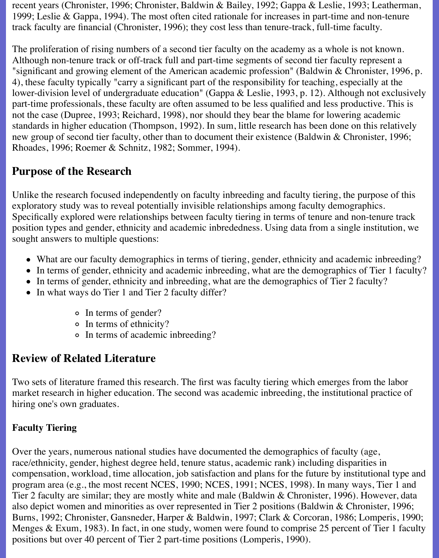recent years (Chronister, 1996; Chronister, Baldwin & Bailey, 1992; Gappa & Leslie, 1993; Leatherman, 1999; Leslie & Gappa, 1994). The most often cited rationale for increases in part-time and non-tenure track faculty are financial (Chronister, 1996); they cost less than tenure-track, full-time faculty.

The proliferation of rising numbers of a second tier faculty on the academy as a whole is not known. Although non-tenure track or off-track full and part-time segments of second tier faculty represent a "significant and growing element of the American academic profession" (Baldwin & Chronister, 1996, p. 4), these faculty typically "carry a significant part of the responsibility for teaching, especially at the lower-division level of undergraduate education" (Gappa & Leslie, 1993, p. 12). Although not exclusively part-time professionals, these faculty are often assumed to be less qualified and less productive. This is not the case (Dupree, 1993; Reichard, 1998), nor should they bear the blame for lowering academic standards in higher education (Thompson, 1992). In sum, little research has been done on this relatively new group of second tier faculty, other than to document their existence (Baldwin & Chronister, 1996; Rhoades, 1996; Roemer & Schnitz, 1982; Sommer, 1994).

# **Purpose of the Research**

Unlike the research focused independently on faculty inbreeding and faculty tiering, the purpose of this exploratory study was to reveal potentially invisible relationships among faculty demographics. Specifically explored were relationships between faculty tiering in terms of tenure and non-tenure track position types and gender, ethnicity and academic inbrededness. Using data from a single institution, we sought answers to multiple questions:

- What are our faculty demographics in terms of tiering, gender, ethnicity and academic inbreeding?
- In terms of gender, ethnicity and academic inbreeding, what are the demographics of Tier 1 faculty?
- In terms of gender, ethnicity and inbreeding, what are the demographics of Tier 2 faculty?
- In what ways do Tier 1 and Tier 2 faculty differ?
	- In terms of gender?
	- In terms of ethnicity?
	- In terms of academic inbreeding?

# **Review of Related Literature**

Two sets of literature framed this research. The first was faculty tiering which emerges from the labor market research in higher education. The second was academic inbreeding, the institutional practice of hiring one's own graduates.

### **Faculty Tiering**

Over the years, numerous national studies have documented the demographics of faculty (age, race/ethnicity, gender, highest degree held, tenure status, academic rank) including disparities in compensation, workload, time allocation, job satisfaction and plans for the future by institutional type and program area (e.g., the most recent NCES, 1990; NCES, 1991; NCES, 1998). In many ways, Tier 1 and Tier 2 faculty are similar; they are mostly white and male (Baldwin & Chronister, 1996). However, data also depict women and minorities as over represented in Tier 2 positions (Baldwin & Chronister, 1996; Burns, 1992; Chronister, Gansneder, Harper & Baldwin, 1997; Clark & Corcoran, 1986; Lomperis, 1990; Menges & Exum, 1983). In fact, in one study, women were found to comprise 25 percent of Tier 1 faculty positions but over 40 percent of Tier 2 part-time positions (Lomperis, 1990).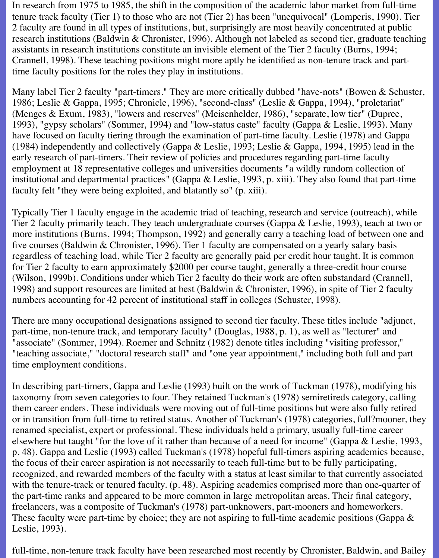In research from 1975 to 1985, the shift in the composition of the academic labor market from full-time tenure track faculty (Tier 1) to those who are not (Tier 2) has been "unequivocal" (Lomperis, 1990). Tier 2 faculty are found in all types of institutions, but, surprisingly are most heavily concentrated at public research institutions (Baldwin & Chronister, 1996). Although not labeled as second tier, graduate teaching assistants in research institutions constitute an invisible element of the Tier 2 faculty (Burns, 1994; Crannell, 1998). These teaching positions might more aptly be identified as non-tenure track and parttime faculty positions for the roles they play in institutions.

Many label Tier 2 faculty "part-timers." They are more critically dubbed "have-nots" (Bowen & Schuster, 1986; Leslie & Gappa, 1995; Chronicle, 1996), "second-class" (Leslie & Gappa, 1994), "proletariat" (Menges & Exum, 1983), "lowers and reserves" (Meisenhelder, 1986), "separate, low tier" (Dupree, 1993), "gypsy scholars" (Sommer, 1994) and "low-status caste" faculty (Gappa & Leslie, 1993). Many have focused on faculty tiering through the examination of part-time faculty. Leslie (1978) and Gappa (1984) independently and collectively (Gappa & Leslie, 1993; Leslie & Gappa, 1994, 1995) lead in the early research of part-timers. Their review of policies and procedures regarding part-time faculty employment at 18 representative colleges and universities documents "a wildly random collection of institutional and departmental practices" (Gappa & Leslie, 1993, p. xiii). They also found that part-time faculty felt "they were being exploited, and blatantly so" (p. xiii).

Typically Tier 1 faculty engage in the academic triad of teaching, research and service (outreach), while Tier 2 faculty primarily teach. They teach undergraduate courses (Gappa & Leslie, 1993), teach at two or more institutions (Burns, 1994; Thompson, 1992) and generally carry a teaching load of between one and five courses (Baldwin & Chronister, 1996). Tier 1 faculty are compensated on a yearly salary basis regardless of teaching load, while Tier 2 faculty are generally paid per credit hour taught. It is common for Tier 2 faculty to earn approximately \$2000 per course taught, generally a three-credit hour course (Wilson, 1999b). Conditions under which Tier 2 faculty do their work are often substandard (Crannell, 1998) and support resources are limited at best (Baldwin & Chronister, 1996), in spite of Tier 2 faculty numbers accounting for 42 percent of institutional staff in colleges (Schuster, 1998).

There are many occupational designations assigned to second tier faculty. These titles include "adjunct, part-time, non-tenure track, and temporary faculty" (Douglas, 1988, p. 1), as well as "lecturer" and "associate" (Sommer, 1994). Roemer and Schnitz (1982) denote titles including "visiting professor," "teaching associate," "doctoral research staff" and "one year appointment," including both full and part time employment conditions.

In describing part-timers, Gappa and Leslie (1993) built on the work of Tuckman (1978), modifying his taxonomy from seven categories to four. They retained Tuckman's (1978) semiretireds category, calling them career enders. These individuals were moving out of full-time positions but were also fully retired or in transition from full-time to retired status. Another of Tuckman's (1978) categories, full?mooner, they renamed specialist, expert or professional. These individuals held a primary, usually full-time career elsewhere but taught "for the love of it rather than because of a need for income" (Gappa & Leslie, 1993, p. 48). Gappa and Leslie (1993) called Tuckman's (1978) hopeful full-timers aspiring academics because, the focus of their career aspiration is not necessarily to teach full-time but to be fully participating, recognized, and rewarded members of the faculty with a status at least similar to that currently associated with the tenure-track or tenured faculty. (p. 48). Aspiring academics comprised more than one-quarter of the part-time ranks and appeared to be more common in large metropolitan areas. Their final category, freelancers, was a composite of Tuckman's (1978) part-unknowers, part-mooners and homeworkers. These faculty were part-time by choice; they are not aspiring to full-time academic positions (Gappa & Leslie, 1993).

full-time, non-tenure track faculty have been researched most recently by Chronister, Baldwin, and Bailey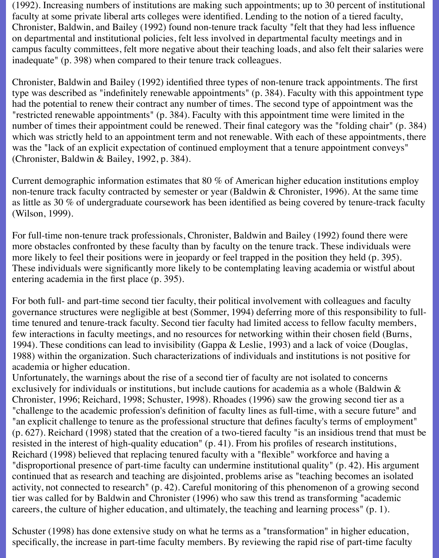(1992). Increasing numbers of institutions are making such appointments; up to 30 percent of institutional faculty at some private liberal arts colleges were identified. Lending to the notion of a tiered faculty, Chronister, Baldwin, and Bailey (1992) found non-tenure track faculty "felt that they had less influence on departmental and institutional policies, felt less involved in departmental faculty meetings and in campus faculty committees, felt more negative about their teaching loads, and also felt their salaries were inadequate" (p. 398) when compared to their tenure track colleagues.

Chronister, Baldwin and Bailey (1992) identified three types of non-tenure track appointments. The first type was described as "indefinitely renewable appointments" (p. 384). Faculty with this appointment type had the potential to renew their contract any number of times. The second type of appointment was the "restricted renewable appointments" (p. 384). Faculty with this appointment time were limited in the number of times their appointment could be renewed. Their final category was the "folding chair" (p. 384) which was strictly held to an appointment term and not renewable. With each of these appointments, there was the "lack of an explicit expectation of continued employment that a tenure appointment conveys" (Chronister, Baldwin & Bailey, 1992, p. 384).

Current demographic information estimates that 80 % of American higher education institutions employ non-tenure track faculty contracted by semester or year (Baldwin & Chronister, 1996). At the same time as little as 30 % of undergraduate coursework has been identified as being covered by tenure-track faculty (Wilson, 1999).

For full-time non-tenure track professionals, Chronister, Baldwin and Bailey (1992) found there were more obstacles confronted by these faculty than by faculty on the tenure track. These individuals were more likely to feel their positions were in jeopardy or feel trapped in the position they held (p. 395). These individuals were significantly more likely to be contemplating leaving academia or wistful about entering academia in the first place (p. 395).

For both full- and part-time second tier faculty, their political involvement with colleagues and faculty governance structures were negligible at best (Sommer, 1994) deferring more of this responsibility to fulltime tenured and tenure-track faculty. Second tier faculty had limited access to fellow faculty members, few interactions in faculty meetings, and no resources for networking within their chosen field (Burns, 1994). These conditions can lead to invisibility (Gappa & Leslie, 1993) and a lack of voice (Douglas, 1988) within the organization. Such characterizations of individuals and institutions is not positive for academia or higher education.

Unfortunately, the warnings about the rise of a second tier of faculty are not isolated to concerns exclusively for individuals or institutions, but include cautions for academia as a whole (Baldwin & Chronister, 1996; Reichard, 1998; Schuster, 1998). Rhoades (1996) saw the growing second tier as a "challenge to the academic profession's definition of faculty lines as full-time, with a secure future" and "an explicit challenge to tenure as the professional structure that defines faculty's terms of employment" (p. 627). Reichard (1998) stated that the creation of a two-tiered faculty "is an insidious trend that must be resisted in the interest of high-quality education" (p. 41). From his profiles of research institutions, Reichard (1998) believed that replacing tenured faculty with a "flexible" workforce and having a "disproportional presence of part-time faculty can undermine institutional quality" (p. 42). His argument continued that as research and teaching are disjointed, problems arise as "teaching becomes an isolated activity, not connected to research" (p. 42). Careful monitoring of this phenomenon of a growing second tier was called for by Baldwin and Chronister (1996) who saw this trend as transforming "academic careers, the culture of higher education, and ultimately, the teaching and learning process" (p. 1).

Schuster (1998) has done extensive study on what he terms as a "transformation" in higher education, specifically, the increase in part-time faculty members. By reviewing the rapid rise of part-time faculty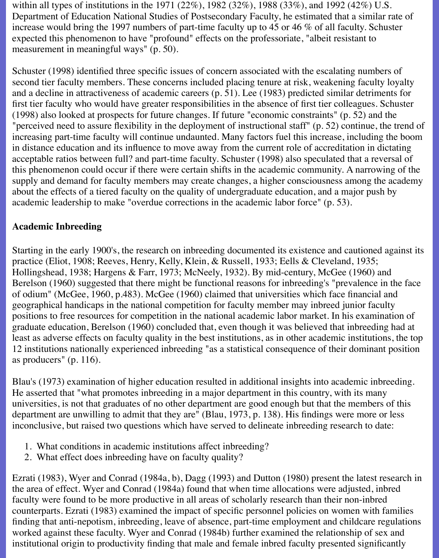within all types of institutions in the 1971 (22%), 1982 (32%), 1988 (33%), and 1992 (42%) U.S. Department of Education National Studies of Postsecondary Faculty, he estimated that a similar rate of increase would bring the 1997 numbers of part-time faculty up to 45 or 46 % of all faculty. Schuster expected this phenomenon to have "profound" effects on the professoriate, "albeit resistant to measurement in meaningful ways" (p. 50).

Schuster (1998) identified three specific issues of concern associated with the escalating numbers of second tier faculty members. These concerns included placing tenure at risk, weakening faculty loyalty and a decline in attractiveness of academic careers (p. 51). Lee (1983) predicted similar detriments for first tier faculty who would have greater responsibilities in the absence of first tier colleagues. Schuster (1998) also looked at prospects for future changes. If future "economic constraints" (p. 52) and the "perceived need to assure flexibility in the deployment of instructional staff" (p. 52) continue, the trend of increasing part-time faculty will continue undaunted. Many factors fuel this increase, including the boom in distance education and its influence to move away from the current role of accreditation in dictating acceptable ratios between full? and part-time faculty. Schuster (1998) also speculated that a reversal of this phenomenon could occur if there were certain shifts in the academic community. A narrowing of the supply and demand for faculty members may create changes, a higher consciousness among the academy about the effects of a tiered faculty on the quality of undergraduate education, and a major push by academic leadership to make "overdue corrections in the academic labor force" (p. 53).

### **Academic Inbreeding**

Starting in the early 1900's, the research on inbreeding documented its existence and cautioned against its practice (Eliot, 1908; Reeves, Henry, Kelly, Klein, & Russell, 1933; Eells & Cleveland, 1935; Hollingshead, 1938; Hargens & Farr, 1973; McNeely, 1932). By mid-century, McGee (1960) and Berelson (1960) suggested that there might be functional reasons for inbreeding's "prevalence in the face of odium" (McGee, 1960, p.483). McGee (1960) claimed that universities which face financial and geographical handicaps in the national competition for faculty member may inbreed junior faculty positions to free resources for competition in the national academic labor market. In his examination of graduate education, Berelson (1960) concluded that, even though it was believed that inbreeding had at least as adverse effects on faculty quality in the best institutions, as in other academic institutions, the top 12 institutions nationally experienced inbreeding "as a statistical consequence of their dominant position as producers" (p. 116).

Blau's (1973) examination of higher education resulted in additional insights into academic inbreeding. He asserted that "what promotes inbreeding in a major department in this country, with its many universities, is not that graduates of no other department are good enough but that the members of this department are unwilling to admit that they are" (Blau, 1973, p. 138). His findings were more or less inconclusive, but raised two questions which have served to delineate inbreeding research to date:

- 1. What conditions in academic institutions affect inbreeding?
- 2. What effect does inbreeding have on faculty quality?

Ezrati (1983), Wyer and Conrad (1984a, b), Dagg (1993) and Dutton (1980) present the latest research in the area of effect. Wyer and Conrad (1984a) found that when time allocations were adjusted, inbred faculty were found to be more productive in all areas of scholarly research than their non-inbred counterparts. Ezrati (1983) examined the impact of specific personnel policies on women with families finding that anti-nepotism, inbreeding, leave of absence, part-time employment and childcare regulations worked against these faculty. Wyer and Conrad (1984b) further examined the relationship of sex and institutional origin to productivity finding that male and female inbred faculty presented significantly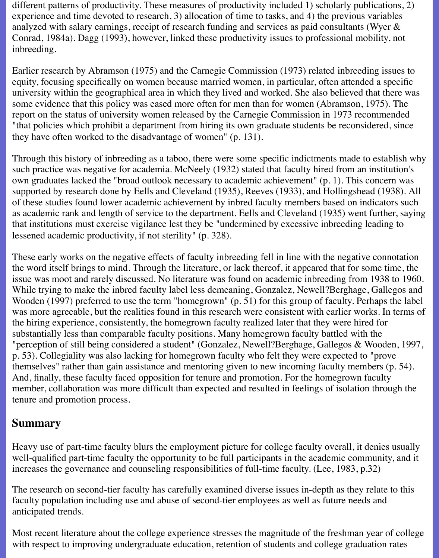different patterns of productivity. These measures of productivity included 1) scholarly publications, 2) experience and time devoted to research, 3) allocation of time to tasks, and 4) the previous variables analyzed with salary earnings, receipt of research funding and services as paid consultants (Wyer & Conrad, 1984a). Dagg (1993), however, linked these productivity issues to professional mobility, not inbreeding.

Earlier research by Abramson (1975) and the Carnegie Commission (1973) related inbreeding issues to equity, focusing specifically on women because married women, in particular, often attended a specific university within the geographical area in which they lived and worked. She also believed that there was some evidence that this policy was eased more often for men than for women (Abramson, 1975). The report on the status of university women released by the Carnegie Commission in 1973 recommended "that policies which prohibit a department from hiring its own graduate students be reconsidered, since they have often worked to the disadvantage of women" (p. 131).

Through this history of inbreeding as a taboo, there were some specific indictments made to establish why such practice was negative for academia. McNeely (1932) stated that faculty hired from an institution's own graduates lacked the "broad outlook necessary to academic achievement" (p. 1). This concern was supported by research done by Eells and Cleveland (1935), Reeves (1933), and Hollingshead (1938). All of these studies found lower academic achievement by inbred faculty members based on indicators such as academic rank and length of service to the department. Eells and Cleveland (1935) went further, saying that institutions must exercise vigilance lest they be "undermined by excessive inbreeding leading to lessened academic productivity, if not sterility" (p. 328).

These early works on the negative effects of faculty inbreeding fell in line with the negative connotation the word itself brings to mind. Through the literature, or lack thereof, it appeared that for some time, the issue was moot and rarely discussed. No literature was found on academic inbreeding from 1938 to 1960. While trying to make the inbred faculty label less demeaning, Gonzalez, Newell?Berghage, Gallegos and Wooden (1997) preferred to use the term "homegrown" (p. 51) for this group of faculty. Perhaps the label was more agreeable, but the realities found in this research were consistent with earlier works. In terms of the hiring experience, consistently, the homegrown faculty realized later that they were hired for substantially less than comparable faculty positions. Many homegrown faculty battled with the "perception of still being considered a student" (Gonzalez, Newell?Berghage, Gallegos & Wooden, 1997, p. 53). Collegiality was also lacking for homegrown faculty who felt they were expected to "prove themselves" rather than gain assistance and mentoring given to new incoming faculty members (p. 54). And, finally, these faculty faced opposition for tenure and promotion. For the homegrown faculty member, collaboration was more difficult than expected and resulted in feelings of isolation through the tenure and promotion process.

## **Summary**

Heavy use of part-time faculty blurs the employment picture for college faculty overall, it denies usually well-qualified part-time faculty the opportunity to be full participants in the academic community, and it increases the governance and counseling responsibilities of full-time faculty. (Lee, 1983, p.32)

The research on second-tier faculty has carefully examined diverse issues in-depth as they relate to this faculty population including use and abuse of second-tier employees as well as future needs and anticipated trends.

Most recent literature about the college experience stresses the magnitude of the freshman year of college with respect to improving undergraduate education, retention of students and college graduation rates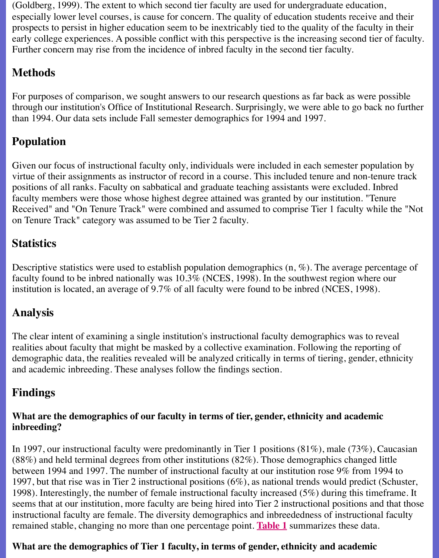### **Methods**

For purposes of comparison, we sought answers to our research questions as far back as were through our institution's Office of Institutional Research. Surprisingly, we were able to go ba than 1994. Our data sets include Fall semester demographics for 1994 and 1997.

# **Population**

Given our focus of instructional faculty only, individuals were included in each semester population by virtue of their assignments as instructor of record in a course. This included tenure and non-t positions of all ranks. Faculty on sabbatical and graduate teaching assistants were excluded. faculty members were those whose highest degree attained was granted by our institution. "T Received" and "On Tenure Track" were combined and assumed to comprise Tier 1 faculty w on Tenure Track" category was assumed to be Tier 2 faculty.

# **Statistics**

Descriptive statistics were used to establish population demographics  $(n, \mathcal{C})$ . The average per faculty found to be inbred nationally was  $10.3\%$  (NCES, 1998). In the southwest region where  $\alpha$ institution is located, an average of 9.7% of all faculty were found to be inbred (NCES, 1998).

# **Analysis**

The clear intent of examining a single institution's instructional faculty demographics was to realities about faculty that might be masked by a collective examination. Following the reporting of demographic data, the realities revealed will be analyzed critically in terms of tiering, gender, and academic inbreeding. These analyses follow the findings section.

# **Findings**

### What are the demographics of our faculty in terms of tier, gender, ethnicity and acaden **inbreeding?**

In 1997, our instructional faculty were predominantly in Tier 1 positions  $(81\%)$ , male  $(73\%)$  $(88%)$  and held terminal degrees from other institutions  $(82%)$ . Those demographics changed between 1994 and 1997. The number of instructional faculty at our institution rose  $9\%$  from 1997, but that rise was in Tier 2 instructional positions  $(6\%)$ , as national trends would predictional 1998). Interestingly, the number of female instructional faculty increased  $(5\%)$  during this timeseems that at our institution, more faculty are being hired into Tier 2 instructional positions and that the that that the those is and the those is and that the those is and that the those is and that the those is and tha instructional faculty are female. The diversity demographics and inbreededness of instruction remained stable, changing no more than one percentage point. **Table 1** summarizes these data.

### What are the demographics of Tier 1 faculty, in terms of gender, ethnicity and academi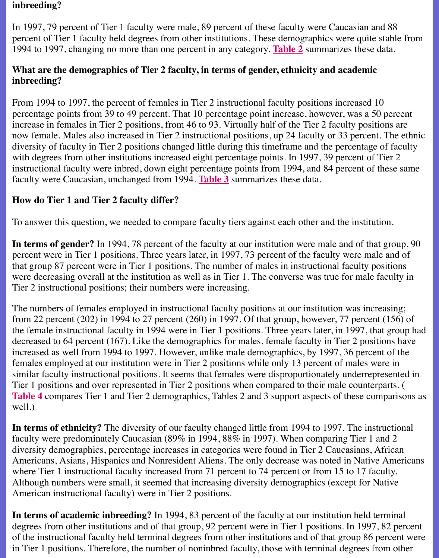#### **inbreeding?**

From 1994 to 1997, the percent of females in Tier 2 instructional faculty positions increased percentage points from 39 to 49 percent. That 10 percentage point increase, however, was a 3 increase in females in Tier 2 positions, from 46 to 93. Virtually hal[f of the](file:///Users/nrahman/Google%20Drive/Dropbox/AWL/AWL%20Aug3/winter2000/b-table2.html) Tier 2 faculty positions. now female. Males also increased in Tier 2 instructional positions, up 24 faculty or 33 percent. diversity of faculty in Tier 2 positions changed little during this timeframe and the percentage with degrees from other institutions increased eight percentage points. In 1997, 39 percent of instructional faculty were inbred, down eight percentage points from 1994, and 84 percent of faculty were Caucasian, unchanged from 1994. **Table 3** summarizes these data.

### **How do Tier 1 and Tier 2 faculty differ?**

To answer this question, we needed to compare faculty tiers against each other and the institution.

**In terms of gender?** In 1994, 78 percent of the faculty at our institution were male and of the percent were in Tier 1 positions. Three years lat[er, in 19](file:///Users/nrahman/Google%20Drive/Dropbox/AWL/AWL%20Aug3/winter2000/b-table3.html)97, 73 percent of the faculty were ma that group 87 percent were in Tier 1 positions. The number of males in instructional faculty  $\mu$ were decreasing overall at the institution as well as in Tier 1. The converse was true for male Tier 2 instructional positions; their numbers were increasing.

The numbers of females employed in instructional faculty positions at our institution was inc from 22 percent (202) in 1994 to 27 percent (260) in 1997. Of that group, however, 77 perce the female instructional faculty in 1994 were in Tier 1 positions. Three years later, in 1997, that decreased to 64 percent (167). Like the demographics for males, female faculty in Tier 2 pos increased as well from 1994 to 1997. However, unlike male demographics, by 1997, 36 perc females employed at our institution were in Tier 2 positions while only 13 percent of males w similar faculty instructional positions. It seems that females were disproportionately underre Tier 1 positions and over represented in Tier 2 positions when compared to their male counter **Table 4** compares Tier 1 and Tier 2 demographics, Tables 2 and 3 support aspects of these comparisons as well.)

**In terms of ethnicity?** The diversity of our faculty changed little from 1994 to 1997. The in faculty were predominately Caucasian  $(89\%$  in 1994,  $88\%$  in 1997). When comparing Tier 1 diversity demographics, percentage increases in categories were found in Tier 2 Caucasians, Americans, Asians, Hispanics and Nonresident Aliens. The only decrease was noted in Nativ [where T](file:///Users/nrahman/Google%20Drive/Dropbox/AWL/AWL%20Aug3/winter2000/b-table4.html)ier 1 instructional faculty increased from 71 percent to 74 percent or from 15 to 17 faculty. Although numbers were small, it seemed that increasing diversity demographics (except for American instructional faculty) were in Tier 2 positions.

In terms of academic inbreeding? In 1994, 83 percent of the faculty at our institution held degrees from other institutions and of that group, 92 percent were in Tier 1 positions. In 1997 of the instructional faculty held terminal degrees from other institutions and of that group 86 in Tier 1 positions. Therefore, the number of noninbred faculty, those with terminal degrees from  $\overline{a}$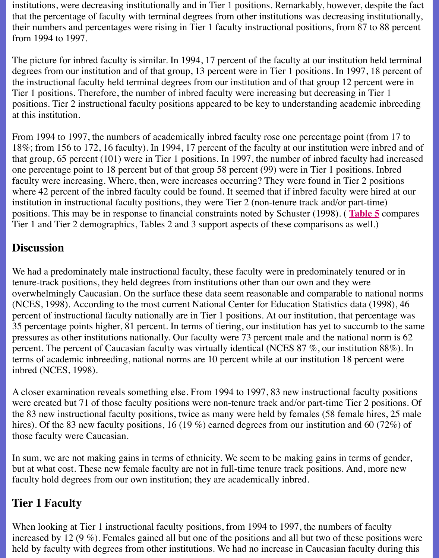degrees from our institution and of that group, 13 percent were in Tier 1 positions. In 1997, 18 percent of the instructional faculty held terminal degrees from our institution and of that group 12 percent Tier 1 positions. Therefore, the number of inbred faculty were increasing but decreasing in T positions. Tier 2 instructional faculty positions appeared to be key to understanding academic at this institution.

From 1994 to 1997, the numbers of academically inbred faculty rose one percentage point (f 18%; from 156 to 172, 16 faculty). In 1994, 17 percent of the faculty at our institution were i that group, 65 percent (101) were in Tier 1 positions. In 1997, the number of inbred faculty  $\mathfrak h$ one percentage point to 18 percent but of that group 58 percent (99) were in Tier 1 positions. faculty were increasing. Where, then, were increases occurring? They were found in Tier 2 positions. where 42 percent of the inbred faculty could be found. It seemed that if inbred faculty were l institution in instructional faculty positions, they were Tier  $2$  (non-tenure track and/or part-time) positions. This may be in response to financial constraints noted by Schuster (1998). (Table Tier 1 and Tier 2 demographics, Tables 2 and 3 support aspects of these comparisons as well.)

## **Discussion**

We had a predominately male instructional faculty, these faculty were in predominately tenured or  $\mu$ tenure-track positions, they held degrees from institutions other than our own and they were overwhelmingly Caucasian. On the surface these data seem reasonable and comparabl[e to nati](file:///Users/nrahman/Google%20Drive/Dropbox/AWL/AWL%20Aug3/winter2000/b-table5.html)onal norms. (NCES, 1998). According to the most current National Center for Education Statistics data (1998), 46 percent of instructional faculty nationally are in Tier 1 positions. At our institution, that percentage was u 35 percentage points higher, 81 percent. In terms of tiering, our institution has yet to succum pressures as other institutions nationally. Our faculty were 73 percent male and the national norm is 62.62 percent. The percent of Caucasian faculty was virtually identical (NCES  $87\%$ , our institution terms of academic inbreeding, national norms are 10 percent while at our institution 18 percent inbred (NCES, 1998).

A closer examination reveals something else. From 1994 to 1997, 83 new instructional faculty were created but 71 of those faculty positions were non-tenure track and/or part-time Tier  $2<sub>1</sub>$ the 83 new instructional faculty positions, twice as many were held by females (58 female hires, 25 male hires, 25 male hires). Of the 83 new faculty positions, 16 (19 %) earned degrees from our institution and 60 those faculty were Caucasian.

In sum, we are not making gains in terms of ethnicity. We seem to be making gains in terms but at what cost. These new female faculty are not in full-time tenure track positions. And, n faculty hold degrees from our own institution; they are academically inbred.

# **Tier 1 Faculty**

When looking at Tier 1 instructional faculty positions, from 1994 to 1997, the numbers of fa increased by 12 (9  $\%$ ). Females gained all but one of the positions and all but two of these positions held by faculty with degrees from other institutions. We had no increase in Caucasian faculty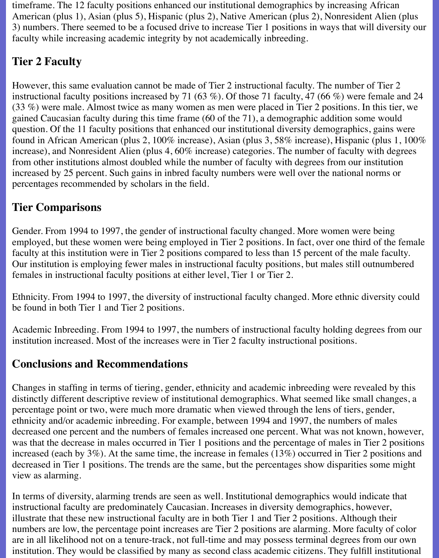timeframe. The 12 faculty positions enhanced our institutional demographics by increasing African American (plus 1), Asian (plus 5), Hispanic (plus 2), Native American (plus 2), Nonresident Alien (plus 3) numbers. There seemed to be a focused drive to increase Tier 1 positions in ways that will diversity our faculty while increasing academic integrity by not academically inbreeding.

# **Tier 2 Faculty**

However, this same evaluation cannot be made of Tier 2 instructional faculty. The number of Tier 2 instructional faculty positions increased by 71 (63 %). Of those 71 faculty, 47 (66 %) were female and 24 (33 %) were male. Almost twice as many women as men were placed in Tier 2 positions. In this tier, we gained Caucasian faculty during this time frame (60 of the 71), a demographic addition some would question. Of the 11 faculty positions that enhanced our institutional diversity demographics, gains were found in African American (plus 2, 100% increase), Asian (plus 3, 58% increase), Hispanic (plus 1, 100% increase), and Nonresident Alien (plus 4, 60% increase) categories. The number of faculty with degrees from other institutions almost doubled while the number of faculty with degrees from our institution increased by 25 percent. Such gains in inbred faculty numbers were well over the national norms or percentages recommended by scholars in the field.

# **Tier Comparisons**

Gender. From 1994 to 1997, the gender of instructional faculty changed. More women were being employed, but these women were being employed in Tier 2 positions. In fact, over one third of the female faculty at this institution were in Tier 2 positions compared to less than 15 percent of the male faculty. Our institution is employing fewer males in instructional faculty positions, but males still outnumbered females in instructional faculty positions at either level, Tier 1 or Tier 2.

Ethnicity. From 1994 to 1997, the diversity of instructional faculty changed. More ethnic diversity could be found in both Tier 1 and Tier 2 positions.

Academic Inbreeding. From 1994 to 1997, the numbers of instructional faculty holding degrees from our institution increased. Most of the increases were in Tier 2 faculty instructional positions.

## **Conclusions and Recommendations**

Changes in staffing in terms of tiering, gender, ethnicity and academic inbreeding were revealed by this distinctly different descriptive review of institutional demographics. What seemed like small changes, a percentage point or two, were much more dramatic when viewed through the lens of tiers, gender, ethnicity and/or academic inbreeding. For example, between 1994 and 1997, the numbers of males decreased one percent and the numbers of females increased one percent. What was not known, however, was that the decrease in males occurred in Tier 1 positions and the percentage of males in Tier 2 positions increased (each by 3%). At the same time, the increase in females (13%) occurred in Tier 2 positions and decreased in Tier 1 positions. The trends are the same, but the percentages show disparities some might view as alarming.

In terms of diversity, alarming trends are seen as well. Institutional demographics would indicate that instructional faculty are predominately Caucasian. Increases in diversity demographics, however, illustrate that these new instructional faculty are in both Tier 1 and Tier 2 positions. Although their numbers are low, the percentage point increases are Tier 2 positions are alarming. More faculty of color are in all likelihood not on a tenure-track, not full-time and may possess terminal degrees from our own institution. They would be classified by many as second class academic citizens. They fulfill institutional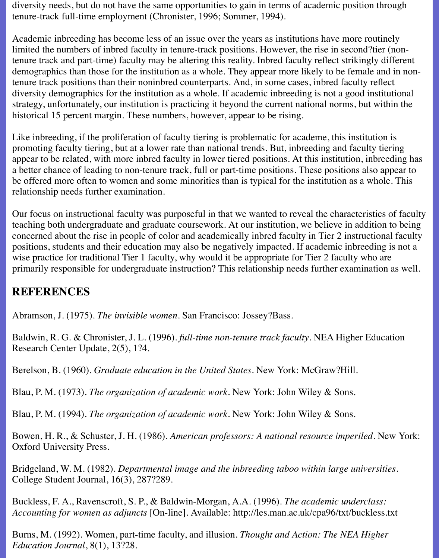diversity needs, but do not have the same opportunities to gain in terms of academic position through tenure-track full-time employment (Chronister, 1996; Sommer, 1994).

Academic inbreeding has become less of an issue over the years as institutions have more routinely limited the numbers of inbred faculty in tenure-track positions. However, the rise in second?tier (nontenure track and part-time) faculty may be altering this reality. Inbred faculty reflect strikingly different demographics than those for the institution as a whole. They appear more likely to be female and in nontenure track positions than their noninbred counterparts. And, in some cases, inbred faculty reflect diversity demographics for the institution as a whole. If academic inbreeding is not a good institutional strategy, unfortunately, our institution is practicing it beyond the current national norms, but within the historical 15 percent margin. These numbers, however, appear to be rising.

Like inbreeding, if the proliferation of faculty tiering is problematic for academe, this institution is promoting faculty tiering, but at a lower rate than national trends. But, inbreeding and faculty tiering appear to be related, with more inbred faculty in lower tiered positions. At this institution, inbreeding has a better chance of leading to non-tenure track, full or part-time positions. These positions also appear to be offered more often to women and some minorities than is typical for the institution as a whole. This relationship needs further examination.

Our focus on instructional faculty was purposeful in that we wanted to reveal the characteristics of faculty teaching both undergraduate and graduate coursework. At our institution, we believe in addition to being concerned about the rise in people of color and academically inbred faculty in Tier 2 instructional faculty positions, students and their education may also be negatively impacted. If academic inbreeding is not a wise practice for traditional Tier 1 faculty, why would it be appropriate for Tier 2 faculty who are primarily responsible for undergraduate instruction? This relationship needs further examination as well.

## **REFERENCES**

Abramson, J. (1975). *The invisible women*. San Francisco: Jossey?Bass.

Baldwin, R. G. & Chronister, J. L. (1996). *full-time non-tenure track faculty*. NEA Higher Education Research Center Update, 2(5), 1?4.

Berelson, B. (1960). *Graduate education in the United States*. New York: McGraw?Hill.

Blau, P. M. (1973). *The organization of academic work*. New York: John Wiley & Sons.

Blau, P. M. (1994). *The organization of academic work*. New York: John Wiley & Sons.

Bowen, H. R., & Schuster, J. H. (1986). *American professors: A national resource imperiled*. New York: Oxford University Press.

Bridgeland, W. M. (1982). *Departmental image and the inbreeding taboo within large universities*. College Student Journal, 16(3), 287?289.

Buckless, F. A., Ravenscroft, S. P., & Baldwin-Morgan, A.A. (1996). *The academic underclass: Accounting for women as adjuncts* [On-line]. Available: http://les.man.ac.uk/cpa96/txt/buckless.txt

Burns, M. (1992). Women, part-time faculty, and illusion. *Thought and Action: The NEA Higher Education Journal*, 8(1), 13?28.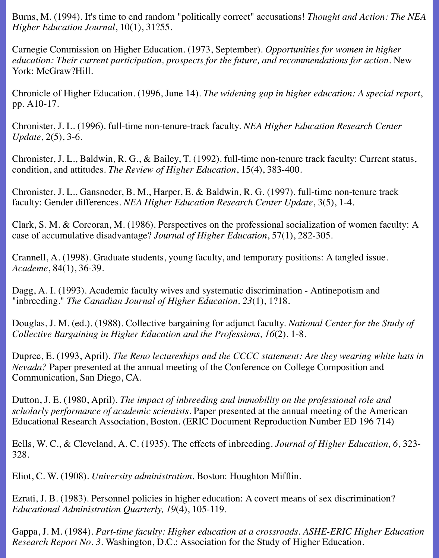Burns, M. (1994). It's time to end random "politically correct" accusations! *Thought and Action: The NEA Higher Education Journal*, 10(1), 31?55.

Carnegie Commission on Higher Education. (1973, September). *Opportunities for women in higher education: Their current participation, prospects for the future, and recommendations for action.* New York: McGraw?Hill.

Chronicle of Higher Education. (1996, June 14). *The widening gap in higher education: A special report*, pp. A10-17.

Chronister, J. L. (1996). full-time non-tenure-track faculty. *NEA Higher Education Research Center Update*, 2(5), 3-6.

Chronister, J. L., Baldwin, R. G., & Bailey, T. (1992). full-time non-tenure track faculty: Current status, condition, and attitudes. *The Review of Higher Education*, 15(4), 383-400.

Chronister, J. L., Gansneder, B. M., Harper, E. & Baldwin, R. G. (1997). full-time non-tenure track faculty: Gender differences. *NEA Higher Education Research Center Update*, 3(5), 1-4.

Clark, S. M. & Corcoran, M. (1986). Perspectives on the professional socialization of women faculty: A case of accumulative disadvantage? *Journal of Higher Education*, 57(1), 282-305.

Crannell, A. (1998). Graduate students, young faculty, and temporary positions: A tangled issue. *Academe*, 84(1), 36-39.

Dagg, A. I. (1993). Academic faculty wives and systematic discrimination - Antinepotism and "inbreeding." *The Canadian Journal of Higher Education, 23*(1), 1?18.

Douglas, J. M. (ed.). (1988). Collective bargaining for adjunct faculty. *National Center for the Study of Collective Bargaining in Higher Education and the Professions, 16*(2), 1-8.

Dupree, E. (1993, April). *The Reno lectureships and the CCCC statement: Are they wearing white hats in Nevada?* Paper presented at the annual meeting of the Conference on College Composition and Communication, San Diego, CA.

Dutton, J. E. (1980, April). *The impact of inbreeding and immobility on the professional role and scholarly performance of academic scientists.* Paper presented at the annual meeting of the American Educational Research Association, Boston. (ERIC Document Reproduction Number ED 196 714)

Eells, W. C., & Cleveland, A. C. (1935). The effects of inbreeding. *Journal of Higher Education, 6*, 323- 328.

Eliot, C. W. (1908). *University administration*. Boston: Houghton Mifflin.

Ezrati, J. B. (1983). Personnel policies in higher education: A covert means of sex discrimination? *Educational Administration Quarterly, 19*(4), 105-119.

Gappa, J. M. (1984). *Part-time faculty: Higher education at a crossroads. ASHE-ERIC Higher Education Research Report No. 3*. Washington, D.C.: Association for the Study of Higher Education.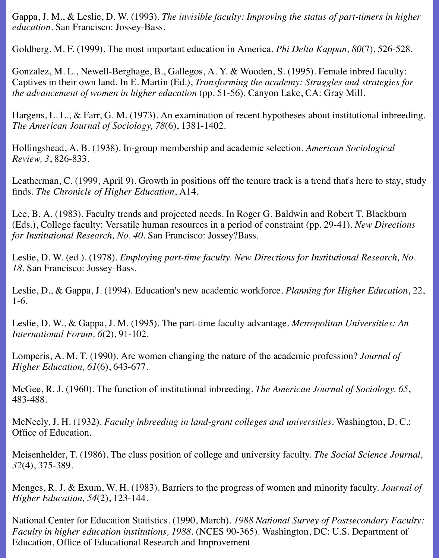Gappa, J. M., & Leslie, D. W. (1993). *The invisible faculty: Improving the status of part-timers in higher education*. San Francisco: Jossey-Bass.

Goldberg, M. F. (1999). The most important education in America. *Phi Delta Kappan, 80*(7), 526-528.

Gonzalez, M. L., Newell-Berghage, B., Gallegos, A. Y. & Wooden, S. (1995). Female inbred faculty: Captives in their own land. In E. Martin (Ed.), *Transforming the academy: Struggles and strategies for the advancement of women in higher education* (pp. 51-56). Canyon Lake, CA: Gray Mill.

Hargens, L. L., & Farr, G. M. (1973). An examination of recent hypotheses about institutional inbreeding. *The American Journal of Sociology, 78*(6), 1381-1402.

Hollingshead, A. B. (1938). In-group membership and academic selection. *American Sociological Review, 3*, 826-833.

Leatherman, C. (1999, April 9). Growth in positions off the tenure track is a trend that's here to stay, study finds. *The Chronicle of Higher Education*, A14.

Lee, B. A. (1983). Faculty trends and projected needs. In Roger G. Baldwin and Robert T. Blackburn (Eds.), College faculty: Versatile human resources in a period of constraint (pp. 29-41). *New Directions for Institutional Research, No. 40*. San Francisco: Jossey?Bass.

Leslie, D. W. (ed.). (1978). *Employing part-time faculty. New Directions for Institutional Research, No. 18*. San Francisco: Jossey-Bass.

Leslie, D., & Gappa, J. (1994). Education's new academic workforce. *Planning for Higher Education*, 22, 1-6.

Leslie, D. W., & Gappa, J. M. (1995). The part-time faculty advantage. *Metropolitan Universities: An International Forum, 6*(2), 91-102.

Lomperis, A. M. T. (1990). Are women changing the nature of the academic profession? *Journal of Higher Education, 61*(6), 643-677.

McGee, R. J. (1960). The function of institutional inbreeding. *The American Journal of Sociology, 65*, 483-488.

McNeely, J. H. (1932). *Faculty inbreeding in land-grant colleges and universities*. Washington, D. C.: Office of Education.

Meisenhelder, T. (1986). The class position of college and university faculty. *The Social Science Journal, 32*(4), 375-389.

Menges, R. J. & Exum, W. H. (1983). Barriers to the progress of women and minority faculty. *Journal of Higher Education, 54*(2), 123-144.

National Center for Education Statistics. (1990, March). *1988 National Survey of Postsecondary Faculty: Faculty in higher education institutions, 1988.* (NCES 90-365). Washington, DC: U.S. Department of Education, Office of Educational Research and Improvement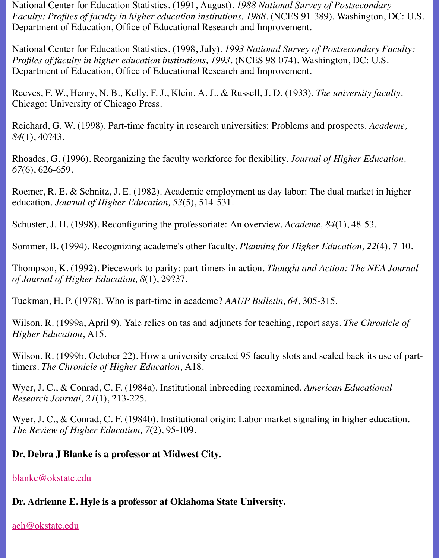Reeves, F. W., Henry, N. B., Kelly, F. J., Klein, A. J., & Russell, J. D. (1933). *The university* Chicago: University of Chicago Press.

Department of Education, Office of Educational Research and Improvement.

Reichard, G. W. (1998). Part-time faculty in research universities: Problems and prospects. *A 84*(1), 40?43.

Rhoades, G. (1996). Reorganizing the faculty workforce for flexibility. *Journal of Higher Education*, *Equation, Resete for flexibility*. *Journal of Higher Education, Resete for flexibility*. *67*(6), 626-659.

Roemer, R. E. & Schnitz, J. E. (1982). Academic employment as day labor: The dual market education. *Journal of Higher Education, 53*(5), 514-531.

Schuster, J. H. (1998). Reconfiguring the professoriate: An overview. *Academe, 84*(1), 48-53.

Sommer, B. (1994). Recognizing academe's other faculty. *Planning for Higher Education*, 22

Thompson, K. (1992). Piecework to parity: part-timers in action. *Thought and Action: The N of Journal of Higher Education, 8*(1), 29?37.

Tuckman, H. P. (1978). Who is part-time in academe? *AAUP Bulletin, 64*, 305-315.

Wilson, R. (1999a, April 9). Yale relies on tas and adjuncts for teaching, report says. *The Ch Higher Education*, A15.

Wilson, R. (1999b, October 22). How a university created 95 faculty slots and scaled back it timers. *The Chronicle of Higher Education*, A18.

Wyer, J. C., & Conrad, C. F. (1984a). Institutional inbreeding reexamined. *American Educat Research Journal, 21*(1), 213-225.

Wyer, J. C., & Conrad, C. F. (1984b). Institutional origin: Labor market signaling in higher e *The Review of Higher Education, 7*(2), 95-109.

### **Dr. Debra J Blanke is a professor at Midwest City.**

#### blanke@okstate.edu

### **Dr. Adrienne E. Hyle is a professor at Oklahoma State University.**

#### aeh@okstate.edu